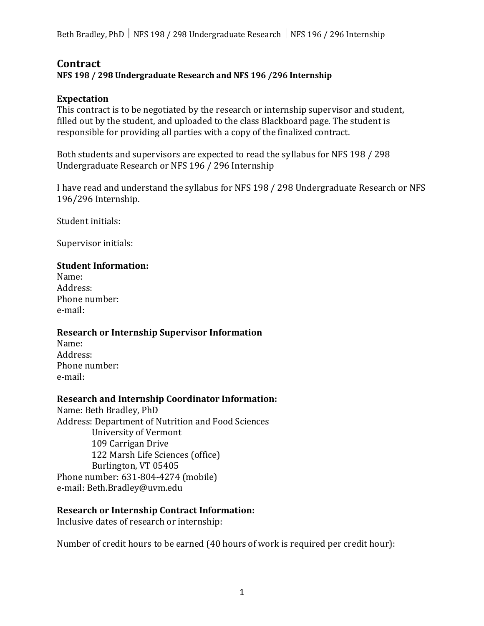Beth Bradley, PhD | NFS 198 / 298 Undergraduate Research | NFS 196 / 296 Internship

# **Contract**

#### **NFS 198 / 298 Undergraduate Research and NFS 196 /296 Internship**

### **Expectation**

This contract is to be negotiated by the research or internship supervisor and student, filled out by the student, and uploaded to the class Blackboard page. The student is responsible for providing all parties with a copy of the finalized contract.

Both students and supervisors are expected to read the syllabus for NFS 198 / 298 Undergraduate Research or NFS 196 / 296 Internship

I have read and understand the syllabus for NFS 198 / 298 Undergraduate Research or NFS 196/296 Internship.

Student initials:

Supervisor initials:

#### **Student Information:**

Name: Address: Phone number: e-mail:

#### **Research or Internship Supervisor Information**

Name: Address: Phone number: e-mail:

#### **Research and Internship Coordinator Information:**

Name: Beth Bradley, PhD Address: Department of Nutrition and Food Sciences University of Vermont 109 Carrigan Drive 122 Marsh Life Sciences (office) Burlington, VT 05405 Phone number: 631-804-4274 (mobile) e-mail: Beth.Bradley@uvm.edu

#### **Research or Internship Contract Information:**

Inclusive dates of research or internship:

Number of credit hours to be earned (40 hours of work is required per credit hour):